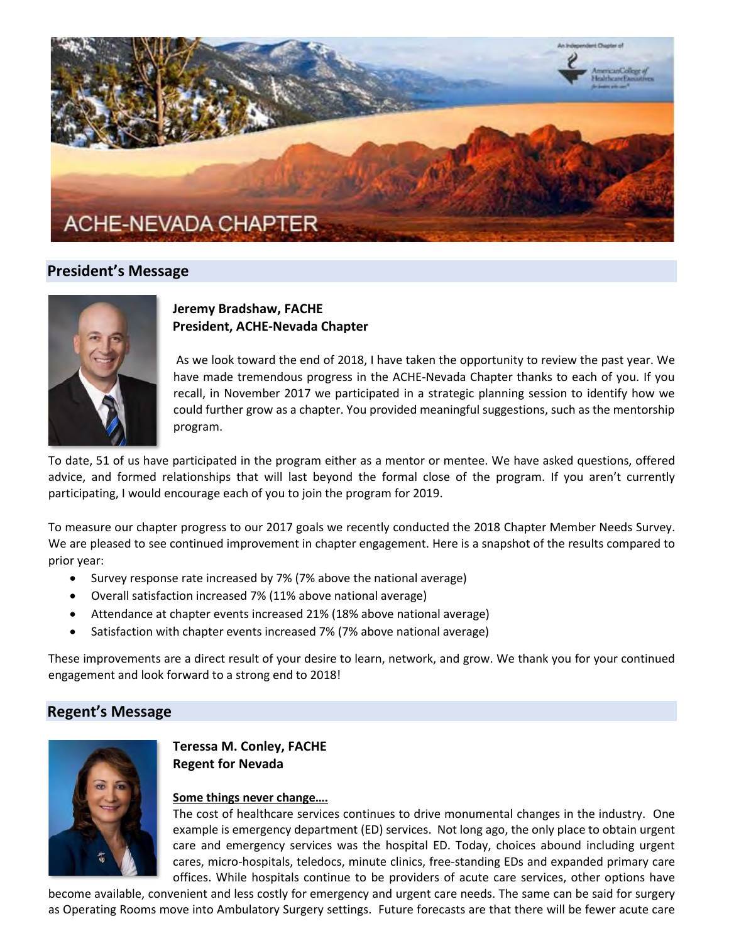

# **President's Message**



# **Jeremy Bradshaw, FACHE President, ACHE-Nevada Chapter**

As we look toward the end of 2018, I have taken the opportunity to review the past year. We have made tremendous progress in the ACHE-Nevada Chapter thanks to each of you. If you recall, in November 2017 we participated in a strategic planning session to identify how we could further grow as a chapter. You provided meaningful suggestions, such as the mentorship program.

To date, 51 of us have participated in the program either as a mentor or mentee. We have asked questions, offered advice, and formed relationships that will last beyond the formal close of the program. If you aren't currently participating, I would encourage each of you to join the program for 2019.

To measure our chapter progress to our 2017 goals we recently conducted the 2018 Chapter Member Needs Survey. We are pleased to see continued improvement in chapter engagement. Here is a snapshot of the results compared to prior year:

- Survey response rate increased by 7% (7% above the national average)
- Overall satisfaction increased 7% (11% above national average)
- Attendance at chapter events increased 21% (18% above national average)
- Satisfaction with chapter events increased 7% (7% above national average)

These improvements are a direct result of your desire to learn, network, and grow. We thank you for your continued engagement and look forward to a strong end to 2018!

# **Regent's Message**



**Teressa M. Conley, FACHE Regent for Nevada**

# **Some things never change….**

The cost of healthcare services continues to drive monumental changes in the industry. One example is emergency department (ED) services. Not long ago, the only place to obtain urgent care and emergency services was the hospital ED. Today, choices abound including urgent cares, micro-hospitals, teledocs, minute clinics, free-standing EDs and expanded primary care offices. While hospitals continue to be providers of acute care services, other options have

become available, convenient and less costly for emergency and urgent care needs. The same can be said for surgery as Operating Rooms move into Ambulatory Surgery settings. Future forecasts are that there will be fewer acute care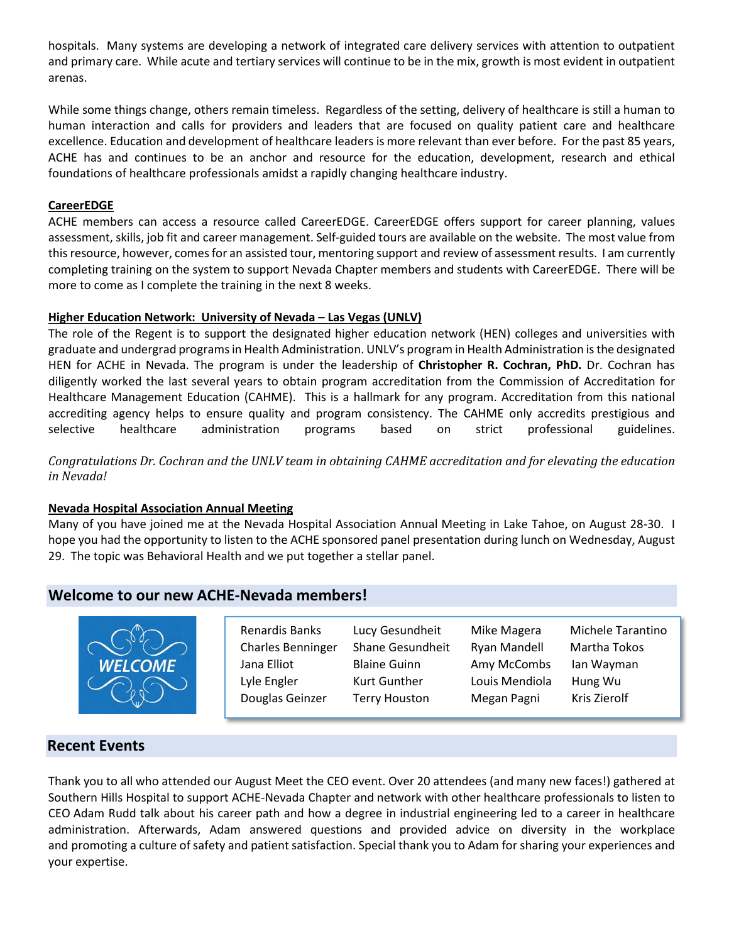hospitals. Many systems are developing a network of integrated care delivery services with attention to outpatient and primary care. While acute and tertiary services will continue to be in the mix, growth is most evident in outpatient arenas.

While some things change, others remain timeless. Regardless of the setting, delivery of healthcare is still a human to human interaction and calls for providers and leaders that are focused on quality patient care and healthcare excellence. Education and development of healthcare leaders is more relevant than ever before. For the past 85 years, ACHE has and continues to be an anchor and resource for the education, development, research and ethical foundations of healthcare professionals amidst a rapidly changing healthcare industry.

#### **CareerEDGE**

ACHE members can access a resource called CareerEDGE. CareerEDGE offers support for career planning, values assessment, skills, job fit and career management. Self-guided tours are available on the website. The most value from this resource, however, comes for an assisted tour, mentoring support and review of assessment results. I am currently completing training on the system to support Nevada Chapter members and students with CareerEDGE. There will be more to come as I complete the training in the next 8 weeks.

#### **Higher Education Network: University of Nevada – Las Vegas (UNLV)**

The role of the Regent is to support the designated higher education network (HEN) colleges and universities with graduate and undergrad programs in Health Administration. UNLV's program in Health Administration is the designated HEN for ACHE in Nevada. The program is under the leadership of **Christopher R. Cochran, PhD.** Dr. Cochran has diligently worked the last several years to obtain program accreditation from the Commission of Accreditation for Healthcare Management Education (CAHME). This is a hallmark for any program. Accreditation from this national accrediting agency helps to ensure quality and program consistency. The CAHME only accredits prestigious and selective healthcare administration programs based on strict professional guidelines.

*Congratulations Dr. Cochran and the UNLV team in obtaining CAHME accreditation and for elevating the education in Nevada!*

#### **Nevada Hospital Association Annual Meeting**

Many of you have joined me at the Nevada Hospital Association Annual Meeting in Lake Tahoe, on August 28-30. I hope you had the opportunity to listen to the ACHE sponsored panel presentation during lunch on Wednesday, August 29. The topic was Behavioral Health and we put together a stellar panel.

# **Welcome to our new ACHE-Nevada members!**



Charles Benninger Shane Gesundheit Ryan Mandell Martha Tokos Jana Elliot Blaine Guinn Amy McCombs Ian Wayman Lyle Engler Kurt Gunther Louis Mendiola Hung Wu Douglas Geinzer Terry Houston Megan Pagni Kris Zierolf

Renardis Banks Lucy Gesundheit Mike Magera Michele Tarantino

# **Recent Events**

Thank you to all who attended our August Meet the CEO event. Over 20 attendees (and many new faces!) gathered at Southern Hills Hospital to support ACHE-Nevada Chapter and network with other healthcare professionals to listen to CEO Adam Rudd talk about his career path and how a degree in industrial engineering led to a career in healthcare administration. Afterwards, Adam answered questions and provided advice on diversity in the workplace and promoting a culture of safety and patient satisfaction. Special thank you to Adam for sharing your experiences and your expertise.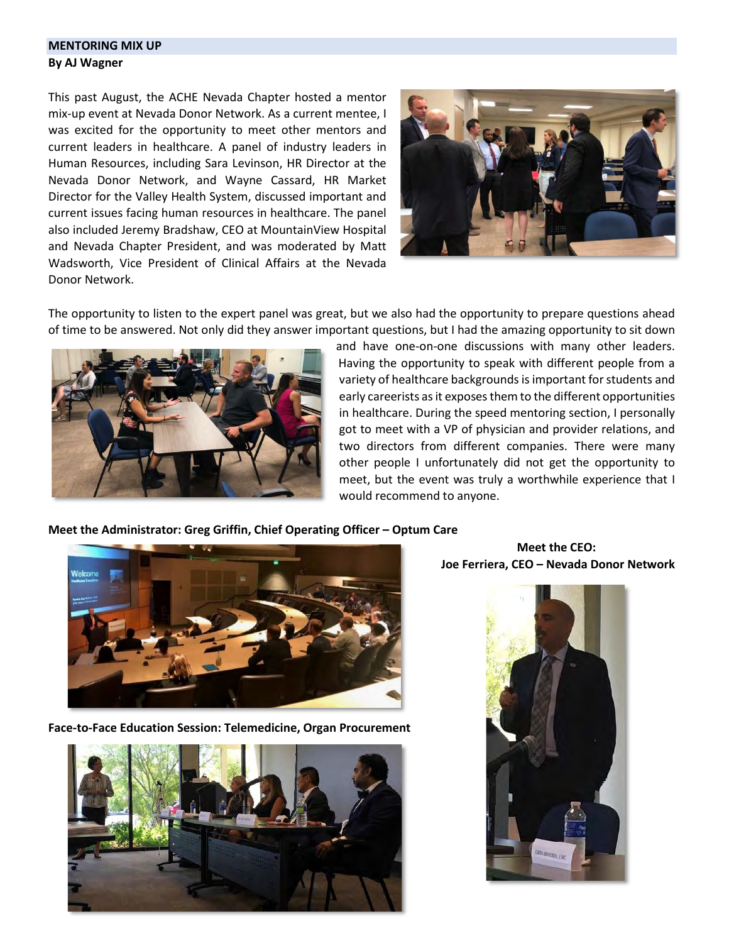# **MENTORING MIX UP By AJ Wagner**

This past August, the ACHE Nevada Chapter hosted a mentor mix-up event at Nevada Donor Network. As a current mentee, I was excited for the opportunity to meet other mentors and current leaders in healthcare. A panel of industry leaders in Human Resources, including Sara Levinson, HR Director at the Nevada Donor Network, and Wayne Cassard, HR Market Director for the Valley Health System, discussed important and current issues facing human resources in healthcare. The panel also included Jeremy Bradshaw, CEO at MountainView Hospital and Nevada Chapter President, and was moderated by Matt Wadsworth, Vice President of Clinical Affairs at the Nevada Donor Network.



The opportunity to listen to the expert panel was great, but we also had the opportunity to prepare questions ahead of time to be answered. Not only did they answer important questions, but I had the amazing opportunity to sit down



and have one-on-one discussions with many other leaders. Having the opportunity to speak with different people from a variety of healthcare backgrounds is important for students and early careerists as it exposes them to the different opportunities in healthcare. During the speed mentoring section, I personally got to meet with a VP of physician and provider relations, and two directors from different companies. There were many other people I unfortunately did not get the opportunity to meet, but the event was truly a worthwhile experience that I would recommend to anyone.

#### **Meet the Administrator: Greg Griffin, Chief Operating Officer – Optum Care**



**Face-to-Face Education Session: Telemedicine, Organ Procurement**



#### **Meet the CEO: Joe Ferriera, CEO – Nevada Donor Network**

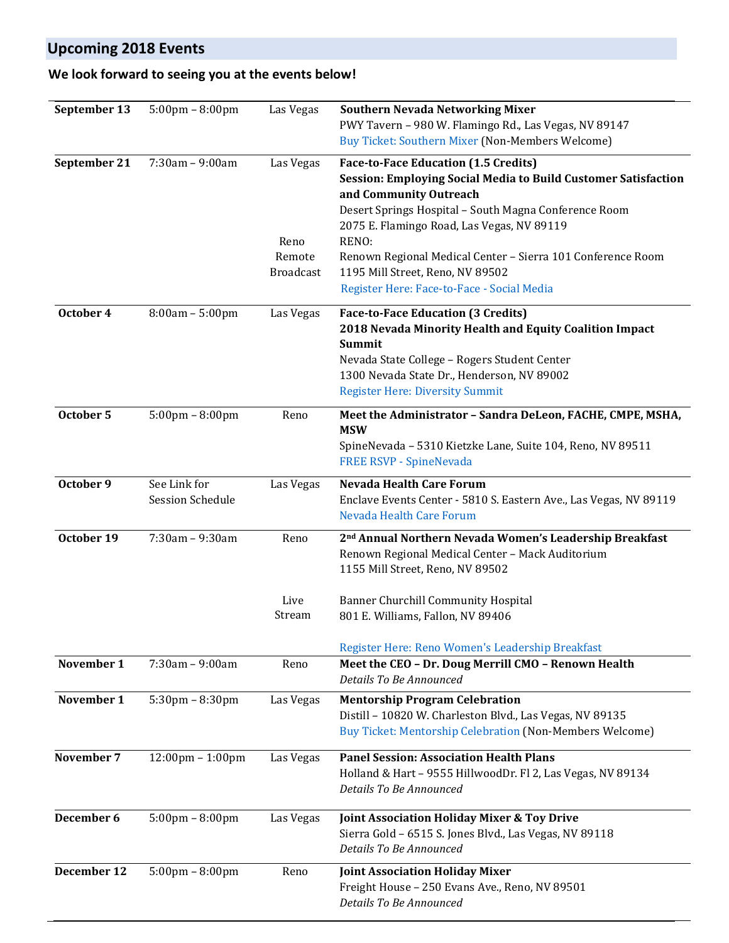# **Upcoming 2018 Events**

# **We look forward to seeing you at the events below!**

| September 13 | $5:00 \text{pm} - 8:00 \text{pm}$  | Las Vegas        | <b>Southern Nevada Networking Mixer</b>                                                  |
|--------------|------------------------------------|------------------|------------------------------------------------------------------------------------------|
|              |                                    |                  | PWY Tavern - 980 W. Flamingo Rd., Las Vegas, NV 89147                                    |
|              |                                    |                  | <b>Buy Ticket: Southern Mixer (Non-Members Welcome)</b>                                  |
| September 21 | $7:30am - 9:00am$                  | Las Vegas        | <b>Face-to-Face Education (1.5 Credits)</b>                                              |
|              |                                    |                  | Session: Employing Social Media to Build Customer Satisfaction                           |
|              |                                    |                  | and Community Outreach                                                                   |
|              |                                    |                  | Desert Springs Hospital - South Magna Conference Room                                    |
|              |                                    |                  | 2075 E. Flamingo Road, Las Vegas, NV 89119                                               |
|              |                                    | Reno             | RENO:                                                                                    |
|              |                                    |                  |                                                                                          |
|              |                                    | Remote           | Renown Regional Medical Center - Sierra 101 Conference Room                              |
|              |                                    | <b>Broadcast</b> | 1195 Mill Street, Reno, NV 89502                                                         |
|              |                                    |                  | Register Here: Face-to-Face - Social Media                                               |
| October 4    | $8:00am - 5:00pm$                  | Las Vegas        | <b>Face-to-Face Education (3 Credits)</b>                                                |
|              |                                    |                  | 2018 Nevada Minority Health and Equity Coalition Impact                                  |
|              |                                    |                  | Summit                                                                                   |
|              |                                    |                  | Nevada State College - Rogers Student Center                                             |
|              |                                    |                  | 1300 Nevada State Dr., Henderson, NV 89002                                               |
|              |                                    |                  | <b>Register Here: Diversity Summit</b>                                                   |
|              |                                    |                  |                                                                                          |
| October 5    | $5:00 \text{pm} - 8:00 \text{pm}$  | Reno             | Meet the Administrator - Sandra DeLeon, FACHE, CMPE, MSHA,                               |
|              |                                    |                  | <b>MSW</b>                                                                               |
|              |                                    |                  | SpineNevada - 5310 Kietzke Lane, Suite 104, Reno, NV 89511                               |
|              |                                    |                  | FREE RSVP - SpineNevada                                                                  |
| October 9    | See Link for                       | Las Vegas        | <b>Nevada Health Care Forum</b>                                                          |
|              | <b>Session Schedule</b>            |                  | Enclave Events Center - 5810 S. Eastern Ave., Las Vegas, NV 89119                        |
|              |                                    |                  | Nevada Health Care Forum                                                                 |
|              |                                    |                  |                                                                                          |
| October 19   | 7:30am - 9:30am                    | Reno             | 2 <sup>nd</sup> Annual Northern Nevada Women's Leadership Breakfast                      |
|              |                                    |                  | Renown Regional Medical Center - Mack Auditorium                                         |
|              |                                    |                  | 1155 Mill Street, Reno, NV 89502                                                         |
|              |                                    |                  |                                                                                          |
|              |                                    | Live             | <b>Banner Churchill Community Hospital</b>                                               |
|              |                                    | Stream           | 801 E. Williams, Fallon, NV 89406                                                        |
|              |                                    |                  |                                                                                          |
|              |                                    |                  | Register Here: Reno Women's Leadership Breakfast                                         |
| November 1   | 7:30am - 9:00am                    | Reno             | Meet the CEO - Dr. Doug Merrill CMO - Renown Health                                      |
|              |                                    |                  | Details To Be Announced                                                                  |
| November 1   | $5:30$ pm - $8:30$ pm              | Las Vegas        | <b>Mentorship Program Celebration</b>                                                    |
|              |                                    |                  | Distill - 10820 W. Charleston Blvd., Las Vegas, NV 89135                                 |
|              |                                    |                  | Buy Ticket: Mentorship Celebration (Non-Members Welcome)                                 |
|              |                                    |                  |                                                                                          |
| November 7   | $12:00 \text{pm} - 1:00 \text{pm}$ | Las Vegas        | <b>Panel Session: Association Health Plans</b>                                           |
|              |                                    |                  | Holland & Hart - 9555 HillwoodDr. Fl 2, Las Vegas, NV 89134                              |
|              |                                    |                  | Details To Be Announced                                                                  |
|              |                                    |                  |                                                                                          |
| December 6   | $5:00 \text{pm} - 8:00 \text{pm}$  | Las Vegas        | Joint Association Holiday Mixer & Toy Drive                                              |
|              |                                    |                  | Sierra Gold - 6515 S. Jones Blvd., Las Vegas, NV 89118                                   |
|              |                                    |                  | Details To Be Announced                                                                  |
| December 12  |                                    |                  |                                                                                          |
|              | $5:00 \text{pm} - 8:00 \text{pm}$  | Reno             | <b>Joint Association Holiday Mixer</b><br>Freight House - 250 Evans Ave., Reno, NV 89501 |
|              |                                    |                  | Details To Be Announced                                                                  |
|              |                                    |                  |                                                                                          |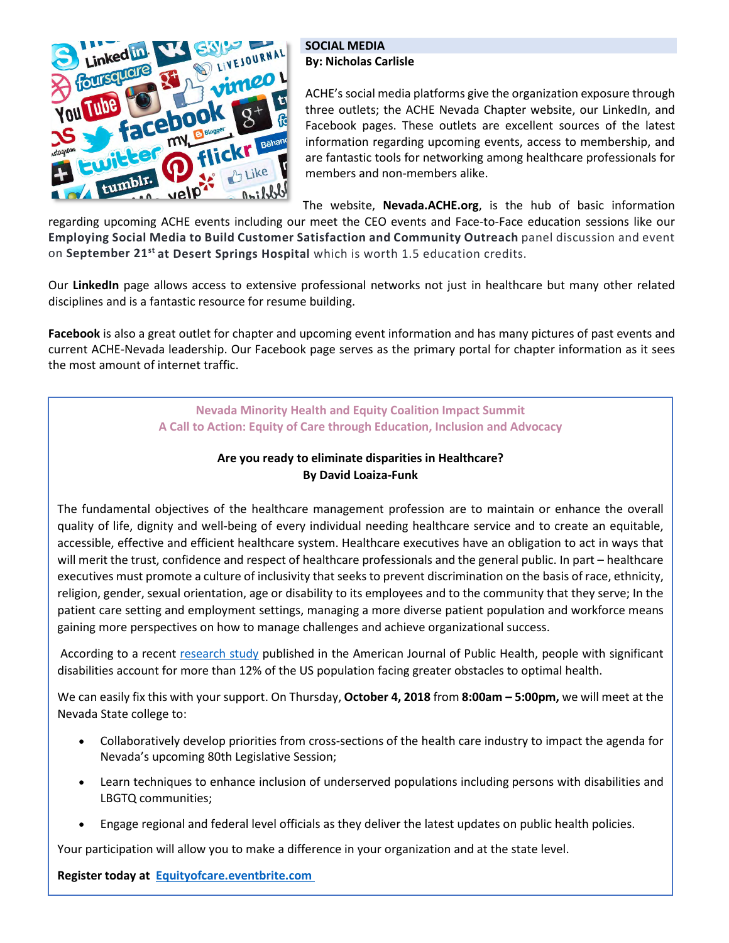

#### **SOCIAL MEDIA By: Nicholas Carlisle**

ACHE's social media platforms give the organization exposure through three outlets; the ACHE Nevada Chapter website, our LinkedIn, and Facebook pages. These outlets are excellent sources of the latest information regarding upcoming events, access to membership, and are fantastic tools for networking among healthcare professionals for members and non-members alike.

The website, **Nevada.ACHE.org**, is the hub of basic information regarding upcoming ACHE events including our meet the CEO events and Face-to-Face education sessions like our **Employing Social Media to Build Customer Satisfaction and Community Outreach** panel discussion and event on **September 21st at Desert Springs Hospital** which is worth 1.5 education credits.

Our **LinkedIn** page allows access to extensive professional networks not just in healthcare but many other related disciplines and is a fantastic resource for resume building.

**Facebook** is also a great outlet for chapter and upcoming event information and has many pictures of past events and current ACHE-Nevada leadership. Our Facebook page serves as the primary portal for chapter information as it sees the most amount of internet traffic.

> **Nevada Minority Health and Equity Coalition Impact Summit A Call to Action: Equity of Care through Education, Inclusion and Advocacy**

# **Are you ready to eliminate disparities in Healthcare? By David Loaiza-Funk**

The fundamental objectives of the healthcare management profession are to maintain or enhance the overall quality of life, dignity and well-being of every individual needing healthcare service and to create an equitable, accessible, effective and efficient healthcare system. Healthcare executives have an obligation to act in ways that will merit the trust, confidence and respect of healthcare professionals and the general public. In part – healthcare executives must promote a culture of inclusivity that seeks to prevent discrimination on the basis of race, ethnicity, religion, gender, sexual orientation, age or disability to its employees and to the community that they serve; In the patient care setting and employment settings, managing a more diverse patient population and workforce means gaining more perspectives on how to manage challenges and achieve organizational success.

According to a recent [research study](https://urldefense.proofpoint.com/v2/url?u=https-3A__eur04.safelinks.protection.outlook.com_-3Furl-3Dhttps-253A-252F-252Fwww.ncbi.nlm.nih.gov-252Fpmc-252Farticles-252FPMC4355692-252F-26data-3D02-257C01-257C-257C45fafc1f828d499bd39108d614997730-257C84df9e7fe9f640afb435aaaaaaaaaaaa-257C1-257C0-257C636719046691602751-26sdata-3DSm-252F0W2vk4-252FSLcllXqgrVrhp17KJL2YUPzEf0EgmWZyQ-253D-26reserved-3D0&d=DwMGaQ&c=9fZnZOgPWmHmvevlab4V4DSjtBMjorSlbQYfK_MauDg&r=FAmhtjqaISz8dVQoW-QtTEYHoefMXkvDDJGf4uF-Jve016TRARYhRt6wvHMnoEeT&m=b5Eh8woi86XK7jQyHpj6wWzb1HFU97e30lK5ZqL5eyU&s=8TFHzyNsnfZdsrGF4PjQ39fegteQVLPbtw1YR6slNGE&e=) published in the American Journal of Public Health, people with significant disabilities account for more than 12% of the US population facing greater obstacles to optimal health.

We can easily fix this with your support. On Thursday, **October 4, 2018** from **8:00am – 5:00pm,** we will meet at the Nevada State college to:

- Collaboratively develop priorities from cross-sections of the health care industry to impact the agenda for Nevada's upcoming 80th Legislative Session;
- Learn techniques to enhance inclusion of underserved populations including persons with disabilities and LBGTQ communities;
- Engage regional and federal level officials as they deliver the latest updates on public health policies.

Your participation will allow you to make a difference in your organization and at the state level.

**Register today at [Equityofcare.eventbrite.com](https://urldefense.proofpoint.com/v2/url?u=https-3A__eur04.safelinks.protection.outlook.com_-3Furl-3DEquityofcare.eventbrite.com-26data-3D02-257C01-257C-257C45fafc1f828d499bd39108d614997730-257C84df9e7fe9f640afb435aaaaaaaaaaaa-257C1-257C0-257C636719046691602751-26sdata-3DN-252BXktBtM1VrMBuL-252BXFxtFQuXxeN8iiIs9gesLZTP5Oc-253D-26reserved-3D0&d=DwMGaQ&c=9fZnZOgPWmHmvevlab4V4DSjtBMjorSlbQYfK_MauDg&r=FAmhtjqaISz8dVQoW-QtTEYHoefMXkvDDJGf4uF-Jve016TRARYhRt6wvHMnoEeT&m=b5Eh8woi86XK7jQyHpj6wWzb1HFU97e30lK5ZqL5eyU&s=cGrUDBi1uheNvDUcN-jpECpwZS8lWPx92si6wTzaMCg&e=)**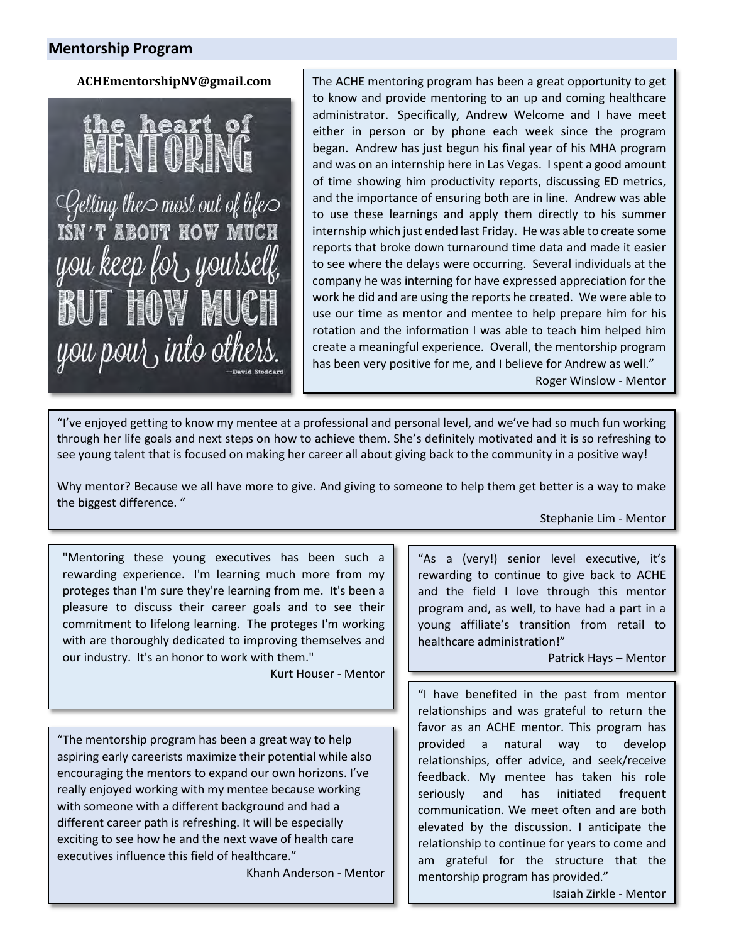# **Mentorship Program**

#### **ACHEmentorshipNV@gmail.com**

hea

 $\mathcal{Q}$ etting the $\circ$  most out of life $\circ$ <br>ISN'T ABOUT HOW MUCH you keep for yours you pour, into others

The ACHE mentoring program has been a great opportunity to get to know and provide mentoring to an up and coming healthcare administrator. Specifically, Andrew Welcome and I have meet either in person or by phone each week since the program began. Andrew has just begun his final year of his MHA program and was on an internship here in Las Vegas. I spent a good amount of time showing him productivity reports, discussing ED metrics, and the importance of ensuring both are in line. Andrew was able to use these learnings and apply them directly to his summer internship which just ended last Friday. He was able to create some reports that broke down turnaround time data and made it easier to see where the delays were occurring. Several individuals at the company he was interning for have expressed appreciation for the work he did and are using the reports he created. We were able to use our time as mentor and mentee to help prepare him for his rotation and the information I was able to teach him helped him create a meaningful experience. Overall, the mentorship program has been very positive for me, and I believe for Andrew as well."

Roger Winslow - Mentor

"I've enjoyed getting to know my mentee at a professional and personal level, and we've had so much fun working through her life goals and next steps on how to achieve them. She's definitely motivated and it is so refreshing to see young talent that is focused on making her career all about giving back to the community in a positive way!

Why mentor? Because we all have more to give. And giving to someone to help them get better is a way to make the biggest difference. "

Stephanie Lim - Mentor

"Mentoring these young executives has been such a rewarding experience. I'm learning much more from my proteges than I'm sure they're learning from me. It's been a pleasure to discuss their career goals and to see their commitment to lifelong learning. The proteges I'm working with are thoroughly dedicated to improving themselves and our industry. It's an honor to work with them."

Kurt Houser - Mentor

"The mentorship program has been a great way to help aspiring early careerists maximize their potential while also encouraging the mentors to expand our own horizons. I've really enjoyed working with my mentee because working with someone with a different background and had a different career path is refreshing. It will be especially exciting to see how he and the next wave of health care executives influence this field of healthcare."

Khanh Anderson - Mentor

"As a (very!) senior level executive, it's rewarding to continue to give back to ACHE and the field I love through this mentor program and, as well, to have had a part in a young affiliate's transition from retail to healthcare administration!"

Patrick Hays – Mentor

"I have benefited in the past from mentor relationships and was grateful to return the favor as an ACHE mentor. This program has provided a natural way to develop relationships, offer advice, and seek/receive feedback. My mentee has taken his role seriously and has initiated frequent communication. We meet often and are both elevated by the discussion. I anticipate the relationship to continue for years to come and am grateful for the structure that the mentorship program has provided."

Isaiah Zirkle - Mentor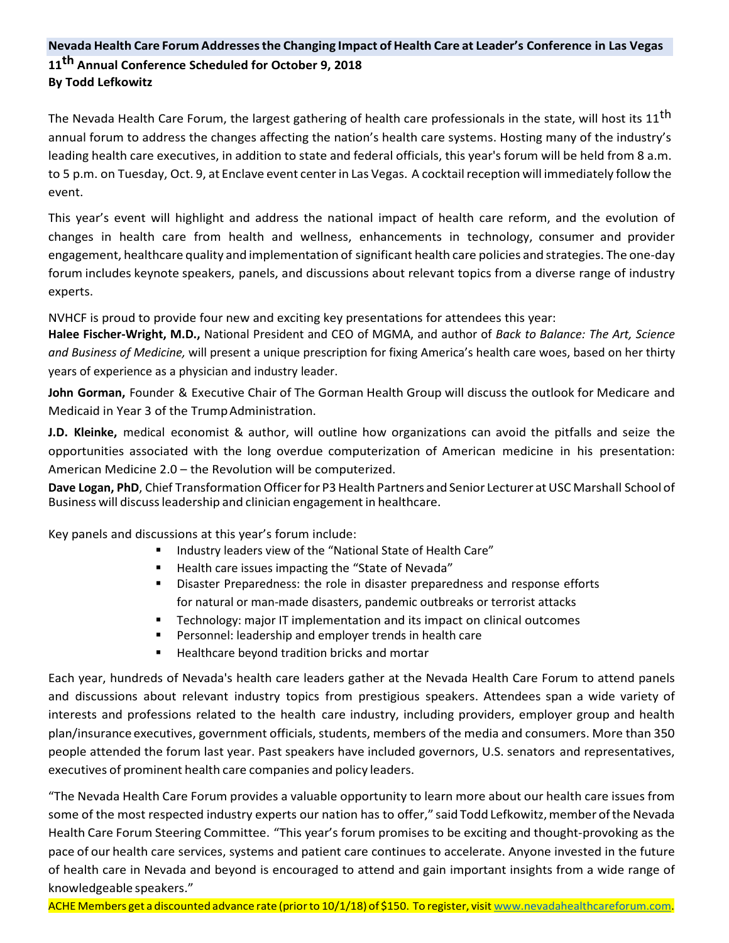# **Nevada Health Care Forum Addressesthe Changing Impact of Health Care at Leader's Conference in Las Vegas 11th Annual Conference Scheduled for October 9, 2018 By Todd Lefkowitz**

The Nevada Health Care Forum, the largest gathering of health care professionals in the state, will host its 11<sup>th</sup> annual forum to address the changes affecting the nation's health care systems. Hosting many of the industry's leading health care executives, in addition to state and federal officials, this year's forum will be held from 8 a.m. to 5 p.m. on Tuesday, Oct. 9, at Enclave event center in Las Vegas. A cocktailreception will immediately follow the event.

This year's event will highlight and address the national impact of health care reform, and the evolution of changes in health care from health and wellness, enhancements in technology, consumer and provider engagement, healthcare quality and implementation of significant health care policies and strategies. The one-day forum includes keynote speakers, panels, and discussions about relevant topics from a diverse range of industry experts.

NVHCF is proud to provide four new and exciting key presentations for attendees this year:

**Halee Fischer-Wright, M.D.,** National President and CEO of MGMA, and author of *Back to Balance: The Art, Science and Business of Medicine,* will present a unique prescription for fixing America's health care woes, based on her thirty years of experience as a physician and industry leader.

**John Gorman,** Founder & Executive Chair of The Gorman Health Group will discuss the outlook for Medicare and Medicaid in Year 3 of the Trump Administration.

**J.D. Kleinke,** medical economist & author, will outline how organizations can avoid the pitfalls and seize the opportunities associated with the long overdue computerization of American medicine in his presentation: American Medicine 2.0 – the Revolution will be computerized.

Dave Logan, PhD, Chief Transformation Officer for P3 Health Partners and Senior Lecturer at USC Marshall School of Business will discussleadership and clinician engagement in healthcare.

Key panels and discussions at this year's forum include:

- **Industry leaders view of the "National State of Health Care"**
- Health care issues impacting the "State of Nevada"
- Disaster Preparedness: the role in disaster preparedness and response efforts for natural or man-made disasters, pandemic outbreaks or terrorist attacks
- Technology: major IT implementation and its impact on clinical outcomes
- Personnel: leadership and employer trends in health care
- Healthcare beyond tradition bricks and mortar

Each year, hundreds of Nevada's health care leaders gather at the Nevada Health Care Forum to attend panels and discussions about relevant industry topics from prestigious speakers. Attendees span a wide variety of interests and professions related to the health care industry, including providers, employer group and health plan/insurance executives, government officials, students, members of the media and consumers. More than 350 people attended the forum last year. Past speakers have included governors, U.S. senators and representatives, executives of prominent health care companies and policy leaders.

"The Nevada Health Care Forum provides a valuable opportunity to learn more about our health care issues from some of the most respected industry experts our nation has to offer," said Todd Lefkowitz, member of the Nevada Health Care Forum Steering Committee. "This year's forum promises to be exciting and thought-provoking as the pace of our health care services, systems and patient care continues to accelerate. Anyone invested in the future of health care in Nevada and beyond is encouraged to attend and gain important insights from a wide range of knowledgeable speakers."

ACHE Members get a discounted advance rate (priorto 10/1/18) of \$150. To register, visi[t www.nevadahealthcareforum.com.](https://urldefense.proofpoint.com/v2/url?u=http-3A__www.nevadahealthcareforum.com&d=DwMGaQ&c=9fZnZOgPWmHmvevlab4V4DSjtBMjorSlbQYfK_MauDg&r=FAmhtjqaISz8dVQoW-QtTEYHoefMXkvDDJGf4uF-Jve016TRARYhRt6wvHMnoEeT&m=flJsfD2gPnJKMpCFPOuCGD3a0YbD69kJJ0lIStsLC8Y&s=6IHZYBcqVTT8vh-xlK2QCOHKE_bq8Bsko78KmZ5i-ys&e)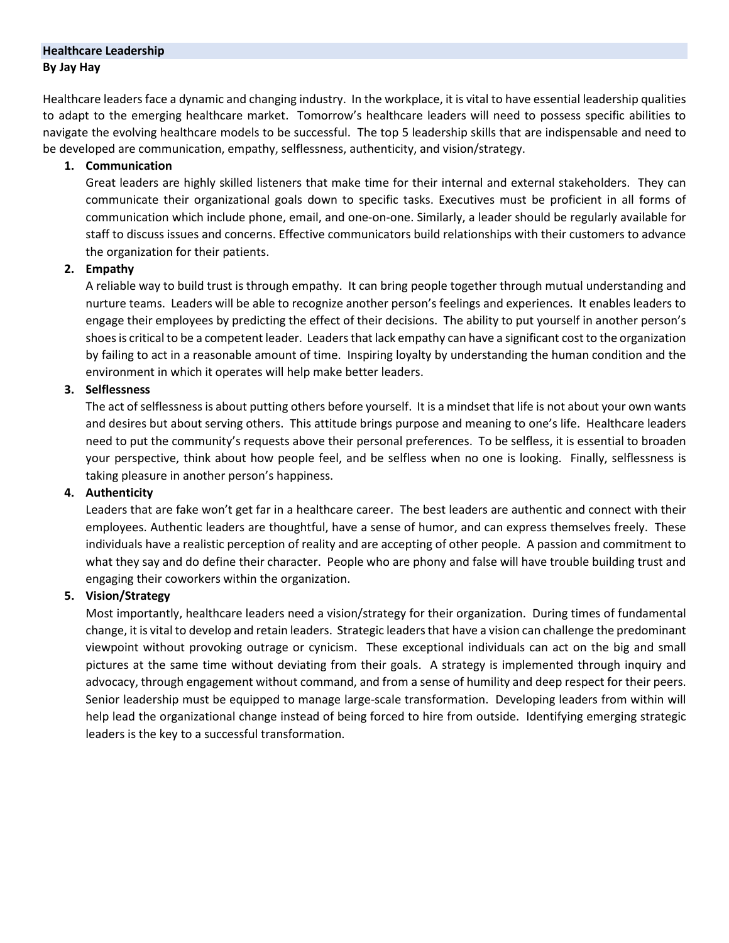# **Healthcare Leadership By Jay Hay**

Healthcare leaders face a dynamic and changing industry. In the workplace, it is vital to have essential leadership qualities to adapt to the emerging healthcare market. Tomorrow's healthcare leaders will need to possess specific abilities to navigate the evolving healthcare models to be successful. The top 5 leadership skills that are indispensable and need to be developed are communication, empathy, selflessness, authenticity, and vision/strategy.

#### **1. Communication**

Great leaders are highly skilled listeners that make time for their internal and external stakeholders. They can communicate their organizational goals down to specific tasks. Executives must be proficient in all forms of communication which include phone, email, and one-on-one. Similarly, a leader should be regularly available for staff to discuss issues and concerns. Effective communicators build relationships with their customers to advance the organization for their patients.

#### **2. Empathy**

A reliable way to build trust is through empathy. It can bring people together through mutual understanding and nurture teams. Leaders will be able to recognize another person's feelings and experiences. It enables leaders to engage their employees by predicting the effect of their decisions. The ability to put yourself in another person's shoes is critical to be a competent leader. Leaders that lack empathy can have a significant cost to the organization by failing to act in a reasonable amount of time. Inspiring loyalty by understanding the human condition and the environment in which it operates will help make better leaders.

# **3. Selflessness**

The act of selflessness is about putting others before yourself. It is a mindset that life is not about your own wants and desires but about serving others. This attitude brings purpose and meaning to one's life. Healthcare leaders need to put the community's requests above their personal preferences. To be selfless, it is essential to broaden your perspective, think about how people feel, and be selfless when no one is looking. Finally, selflessness is taking pleasure in another person's happiness.

#### **4. Authenticity**

Leaders that are fake won't get far in a healthcare career. The best leaders are authentic and connect with their employees. Authentic leaders are thoughtful, have a sense of humor, and can express themselves freely. These individuals have a realistic perception of reality and are accepting of other people. A passion and commitment to what they say and do define their character. People who are phony and false will have trouble building trust and engaging their coworkers within the organization.

# **5. Vision/Strategy**

Most importantly, healthcare leaders need a vision/strategy for their organization. During times of fundamental change, it is vital to develop and retain leaders. Strategic leaders that have a vision can challenge the predominant viewpoint without provoking outrage or cynicism. These exceptional individuals can act on the big and small pictures at the same time without deviating from their goals. A strategy is implemented through inquiry and advocacy, through engagement without command, and from a sense of humility and deep respect for their peers. Senior leadership must be equipped to manage large-scale transformation. Developing leaders from within will help lead the organizational change instead of being forced to hire from outside. Identifying emerging strategic leaders is the key to a successful transformation.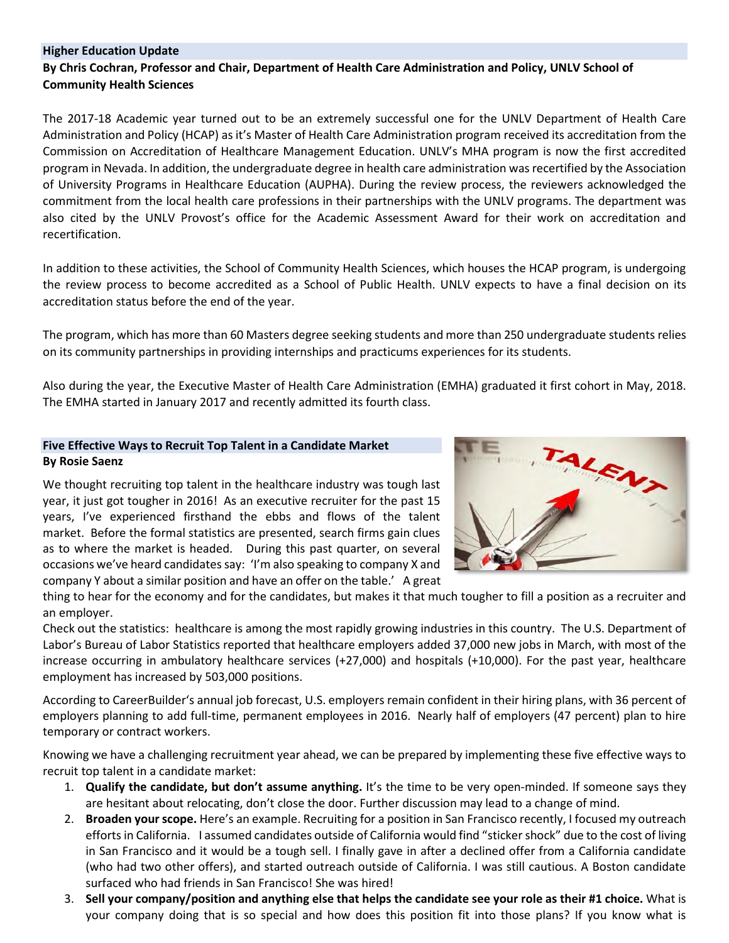#### **Higher Education Update**

#### **By Chris Cochran, Professor and Chair, Department of Health Care Administration and Policy, UNLV School of Community Health Sciences**

The 2017-18 Academic year turned out to be an extremely successful one for the UNLV Department of Health Care Administration and Policy (HCAP) as it's Master of Health Care Administration program received its accreditation from the Commission on Accreditation of Healthcare Management Education. UNLV's MHA program is now the first accredited program in Nevada. In addition, the undergraduate degree in health care administration was recertified by the Association of University Programs in Healthcare Education (AUPHA). During the review process, the reviewers acknowledged the commitment from the local health care professions in their partnerships with the UNLV programs. The department was also cited by the UNLV Provost's office for the Academic Assessment Award for their work on accreditation and recertification.

In addition to these activities, the School of Community Health Sciences, which houses the HCAP program, is undergoing the review process to become accredited as a School of Public Health. UNLV expects to have a final decision on its accreditation status before the end of the year.

The program, which has more than 60 Masters degree seeking students and more than 250 undergraduate students relies on its community partnerships in providing internships and practicums experiences for its students.

Also during the year, the Executive Master of Health Care Administration (EMHA) graduated it first cohort in May, 2018. The EMHA started in January 2017 and recently admitted its fourth class.

#### **Five Effective Ways to Recruit Top Talent in a Candidate Market By Rosie Saenz**

We thought recruiting top talent in the healthcare industry was tough last year, it just got tougher in 2016! As an executive recruiter for the past 15 years, I've experienced firsthand the ebbs and flows of the talent market. Before the formal statistics are presented, search firms gain clues as to where the market is headed. During this past quarter, on several occasions we've heard candidates say: 'I'm also speaking to company X and company Y about a similar position and have an offer on the table.' A great



thing to hear for the economy and for the candidates, but makes it that much tougher to fill a position as a recruiter and an employer.

Check out the statistics: healthcare is among the most rapidly growing industries in this country. The U.S. Department of Labor's Bureau of Labor Statistics reported that healthcare employers added 37,000 new jobs in March, with most of the increase occurring in ambulatory healthcare services (+27,000) and hospitals (+10,000). For the past year, healthcare employment has increased by 503,000 positions.

According to CareerBuilder's annual job forecast, U.S. employers remain confident in their hiring plans, with 36 percent of employers planning to add full-time, permanent employees in 2016. Nearly half of employers (47 percent) plan to hire temporary or contract workers.

Knowing we have a challenging recruitment year ahead, we can be prepared by implementing these five effective ways to recruit top talent in a candidate market:

- 1. **Qualify the candidate, but don't assume anything.** It's the time to be very open-minded. If someone says they are hesitant about relocating, don't close the door. Further discussion may lead to a change of mind.
- 2. **Broaden your scope.** Here's an example. Recruiting for a position in San Francisco recently, I focused my outreach efforts in California. I assumed candidates outside of California would find "sticker shock" due to the cost of living in San Francisco and it would be a tough sell. I finally gave in after a declined offer from a California candidate (who had two other offers), and started outreach outside of California. I was still cautious. A Boston candidate surfaced who had friends in San Francisco! She was hired!
- 3. **Sell your company/position and anything else that helps the candidate see your role as their #1 choice.** What is your company doing that is so special and how does this position fit into those plans? If you know what is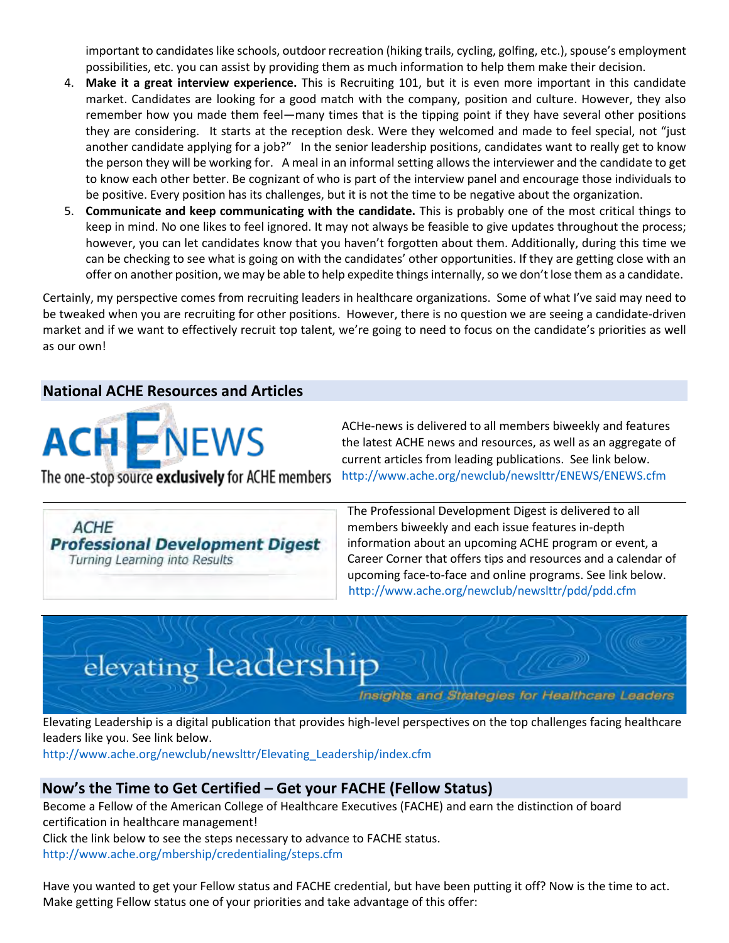important to candidates like schools, outdoor recreation (hiking trails, cycling, golfing, etc.), spouse's employment possibilities, etc. you can assist by providing them as much information to help them make their decision.

- 4. **Make it a great interview experience.** This is Recruiting 101, but it is even more important in this candidate market. Candidates are looking for a good match with the company, position and culture. However, they also remember how you made them feel—many times that is the tipping point if they have several other positions they are considering. It starts at the reception desk. Were they welcomed and made to feel special, not "just another candidate applying for a job?" In the senior leadership positions, candidates want to really get to know the person they will be working for. A meal in an informal setting allows the interviewer and the candidate to get to know each other better. Be cognizant of who is part of the interview panel and encourage those individuals to be positive. Every position has its challenges, but it is not the time to be negative about the organization.
- 5. **Communicate and keep communicating with the candidate.** This is probably one of the most critical things to keep in mind. No one likes to feel ignored. It may not always be feasible to give updates throughout the process; however, you can let candidates know that you haven't forgotten about them. Additionally, during this time we can be checking to see what is going on with the candidates' other opportunities. If they are getting close with an offer on another position, we may be able to help expedite things internally, so we don't lose them as a candidate.

Certainly, my perspective comes from recruiting leaders in healthcare organizations. Some of what I've said may need to be tweaked when you are recruiting for other positions. However, there is no question we are seeing a candidate-driven market and if we want to effectively recruit top talent, we're going to need to focus on the candidate's priorities as well as our own!

# **National ACHE Resources and Articles**

**ACH ENEWS** 

ACHe-news is delivered to all members biweekly and features the latest ACHE news and resources, as well as an aggregate of current articles from leading publications. See link below. <http://www.ache.org/newclub/newslttr/ENEWS/ENEWS.cfm>

The one-stop source exclusively for ACHE members

**ACHE Professional Development Digest** Turning Learning into Results

The Professional Development Digest is delivered to all members biweekly and each issue features in-depth information about an upcoming ACHE program or event, a Career Corner that offers tips and resources and a calendar of upcoming face-to-face and online programs. See link below. <http://www.ache.org/newclub/newslttr/pdd/pdd.cfm>

# elevating leadership

Insights and Strategies for Healthcare Leaders

Elevating Leadership is a digital publication that provides high-level perspectives on the top challenges facing healthcare leaders like you. See link below.

[http://www.ache.org/newclub/newslttr/Elevating\\_Leadership/index.cfm](http://www.ache.org/newclub/newslttr/Elevating_Leadership/index.cfm)

# **Now's the Time to Get Certified – Get your FACHE (Fellow Status)**

Become a Fellow of the American College of Healthcare Executives (FACHE) and earn the distinction of board certification in healthcare management!

Click the link below to see the steps necessary to advance to FACHE status.

<http://www.ache.org/mbership/credentialing/steps.cfm>

Have you wanted to get your Fellow status and FACHE credential, but have been putting it off? Now is the time to act. Make getting Fellow status one of your priorities and take advantage of this offer: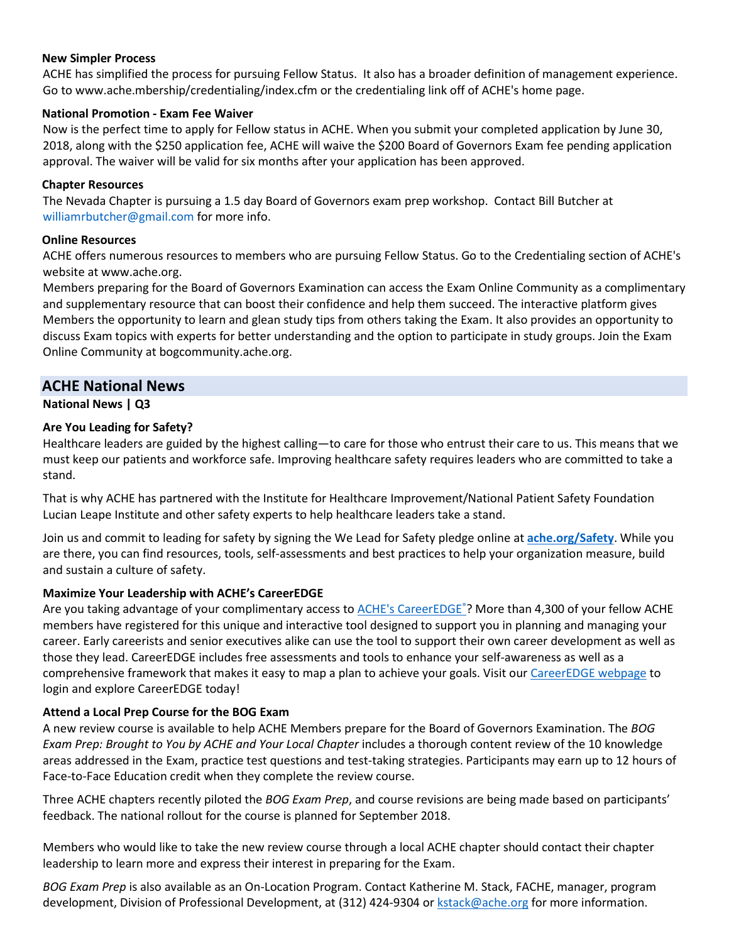#### **New Simpler Process**

ACHE has simplified the process for pursuing Fellow Status. It also has a broader definition of management experience. Go t[o](http://www.ache.mbership/credentialing/index.cfm) [www.ache.mbership/credentialing/index.cfm](http://www.ache.mbership/credentialing/index.cfm) or the credentialing link off of ACHE's home page.

#### **National Promotion - Exam Fee Waiver**

Now is the perfect time to apply for Fellow status in ACHE. When you submit your completed application by June 30, 2018, along with the \$250 application fee, ACHE will waive the \$200 Board of Governors Exam fee pending application approval. The waiver will be valid for six months after your application has been approved.

#### **Chapter Resources**

The Nevada Chapter is pursuing a 1.5 day Board of Governors exam prep workshop. Contact Bill Butcher at williamrbutcher@gmail.com for more info.

#### **Online Resources**

ACHE offers numerous resources to members who are pursuing Fellow Status. Go to the Credentialing section of ACHE's website a[t](htp://www.ache.org/) [www.ache.org.](htp://www.ache.org/) 

Members preparing for the Board of Governors Examination can access the Exam Online Community as a complimentary and supplementary resource that can boost their confidence and help them succeed. The interactive platform gives Members the opportunity to learn and glean study tips from others taking the Exam. It also provides an opportunity to discuss Exam topics with experts for better understanding and the option to participate in study groups. Join the Exam Online Community a[t](http://www.ache.org/mbership/credentialing/OnlineCommunity/bogcommunity.cfm) [bogcommunity.ache.org.](http://www.ache.org/mbership/credentialing/OnlineCommunity/bogcommunity.cfm) 

# **ACHE National News**

# **National News | Q3**

#### **Are You Leading for Safety?**

Healthcare leaders are guided by the highest calling—to care for those who entrust their care to us. This means that we must keep our patients and workforce safe. Improving healthcare safety requires leaders who are committed to take a stand.

That is why ACHE has partnered with the Institute for Healthcare Improvement/National Patient Safety Foundation Lucian Leape Institute and other safety experts to help healthcare leaders take a stand.

Join us and commit to leading for safety by signing the We Lead for Safety pledge online at **[ache.org/Safety](http://safety.ache.org/)**. While you are there, you can find resources, tools, self-assessments and best practices to help your organization measure, build and sustain a culture of safety.

# **Maximize Your Leadership with ACHE's CareerEDGE**

Are you taking advantage of your complimentary access to **ACHE's CareerEDGE**®? More than 4,300 of your fellow ACHE members have registered for this unique and interactive tool designed to support you in planning and managing your career. Early careerists and senior executives alike can use the tool to support their own career development as well as those they lead. CareerEDGE includes free assessments and tools to enhance your self-awareness as well as a comprehensive framework that makes it easy to map a plan to achieve your goals. Visit ou[r CareerEDGE webpage](http://www.mmsend52.com/link.cfm?r=wO3EeMB4AJqTSlvfw3c6Kw%7E%7E&pe=8PCvBwLQFliiNdmD7ltc1y5T2IDdKMXvgMiP8IWxRwhhbGu1Q7VhY5zzO0H6ffs5cd0pJhaoIiRM3whjAwMXwQ%7E%7E) to login and explore CareerEDGE today!

#### **Attend a Local Prep Course for the BOG Exam**

A new review course is available to help ACHE Members prepare for the Board of Governors Examination. The *BOG Exam Prep: Brought to You by ACHE and Your Local Chapter includes a thorough content review of the 10 knowledge* areas addressed in the Exam, practice test questions and test-taking strategies. Participants may earn up to 12 hours of Face-to-Face Education credit when they complete the review course.

Three ACHE chapters recently piloted the *BOG Exam Prep*, and course revisions are being made based on participants' feedback. The national rollout for the course is planned for September 2018.

Members who would like to take the new review course through a local ACHE chapter should contact their chapter leadership to learn more and express their interest in preparing for the Exam.

*BOG Exam Prep* is also available as an On-Location Program. Contact Katherine M. Stack, FACHE, manager, program development, Division of Professional Development, at (312) 424-9304 or [kstack@ache.org](mailto:kstack@ache.org) for more information.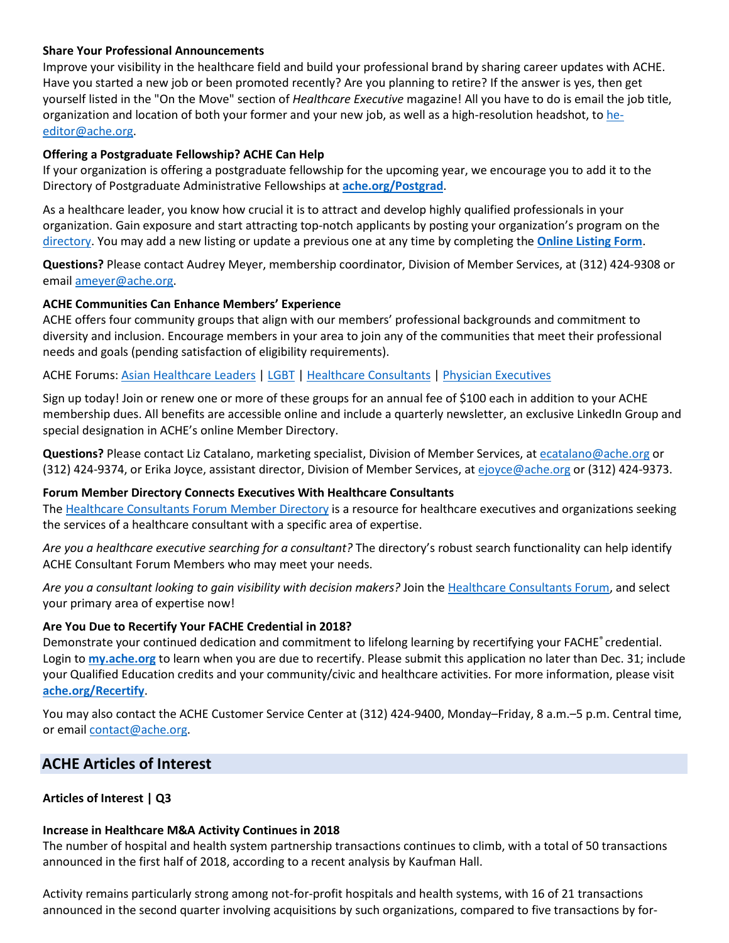#### **Share Your Professional Announcements**

Improve your visibility in the healthcare field and build your professional brand by sharing career updates with ACHE. Have you started a new job or been promoted recently? Are you planning to retire? If the answer is yes, then get yourself listed in the "On the Move" section of *Healthcare Executive* magazine! All you have to do is email the job title, organization and location of both your former and your new job, as well as a high-resolution headshot, t[o he](mailto:he-editor@ache.org)[editor@ache.org.](mailto:he-editor@ache.org)

#### **Offering a Postgraduate Fellowship? ACHE Can Help**

If your organization is offering a postgraduate fellowship for the upcoming year, we encourage you to add it to the Directory of Postgraduate Administrative Fellowships at **[ache.org/Postgrad](http://www.ache.org/postgrad/)**.

As a healthcare leader, you know how crucial it is to attract and develop highly qualified professionals in your organization. Gain exposure and start attracting top-notch applicants by posting your organization's program on the [directory.](http://www.ache.org/postgrad/) You may add a new listing or update a previous one at any time by completing the **[Online Listing Form](http://www.ache.org/postgrad/AddListing.aspx)**.

**Questions?** Please contact Audrey Meyer, membership coordinator, Division of Member Services, at (312) 424-9308 or email [ameyer@ache.org.](mailto:ameyer@ache.org)

#### **ACHE Communities Can Enhance Members' Experience**

ACHE offers four community groups that align with our members' professional backgrounds and commitment to diversity and inclusion. Encourage members in your area to join any of the communities that meet their professional needs and goals (pending satisfaction of eligibility requirements).

ACHE Forums: [Asian Healthcare Leaders](https://www.ache.org/Membership/MemberAHLF.aspx) | [LGBT](https://www.ache.org/Membership/MemberLGBT.aspx) [| Healthcare Consultants](https://www.ache.org/newclub/forums/consultants/) | [Physician Executives](https://www.ache.org/newclub/forums/physicianexecutives/index.cfm) 

Sign up today! Join or renew one or more of these groups for an annual fee of \$100 each in addition to your ACHE membership dues. All benefits are accessible online and include a quarterly newsletter, an exclusive LinkedIn Group and special designation in ACHE's online Member Directory.

**Questions?** Please contact Liz Catalano, marketing specialist, Division of Member Services, a[t ecatalano@ache.org](mailto:ecatalano@ache.org) or (312) 424-9374, or Erika Joyce, assistant director, Division of Member Services, a[t ejoyce@ache.org](mailto:ejoyce@ache.org) or (312) 424-9373.

#### **Forum Member Directory Connects Executives With Healthcare Consultants**

The [Healthcare Consultants Forum Member Directory](http://www.ache.org/HCFDirectory/Default.aspx) is a resource for healthcare executives and organizations seeking the services of a healthcare consultant with a specific area of expertise.

*Are you a healthcare executive searching for a consultant?* The directory's robust search functionality can help identify ACHE Consultant Forum Members who may meet your needs.

*Are you a consultant looking to gain visibility with decision makers?* Join the [Healthcare Consultants Forum,](http://www.ache.org/newclub/forums/consultants/) and select your primary area of expertise now!

#### **Are You Due to Recertify Your FACHE Credential in 2018?**

Demonstrate your continued dedication and commitment to lifelong learning by recertifying your FACHE® credential. Login to **[my.ache.org](http://www.ache.org/newclub/myache/myache_launch.cfm)** to learn when you are due to recertify. Please submit this application no later than Dec. 31; include your Qualified Education credits and your community/civic and healthcare activities. For more information, please visit **[ache.org/Recertify](http://www.ache.org/APPS/recertification.cfm)**.

You may also contact the ACHE Customer Service Center at (312) 424-9400, Monday–Friday, 8 a.m.–5 p.m. Central time, or email [contact@ache.org.](mailto:contact@ache.org)

# **ACHE Articles of Interest**

#### **Articles of Interest | Q3**

#### **Increase in Healthcare M&A Activity Continues in 2018**

The number of hospital and health system partnership transactions continues to climb, with a total of 50 transactions announced in the first half of 2018, according to a recent analysis by Kaufman Hall.

Activity remains particularly strong among not-for-profit hospitals and health systems, with 16 of 21 transactions announced in the second quarter involving acquisitions by such organizations, compared to five transactions by for-